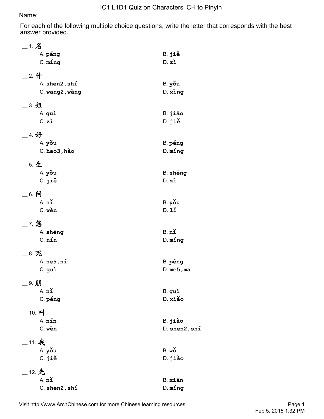## Name:

For each of the following multiple choice questions, write the letter that corresponds with the best answer provided.

| $\_$ 1. $\hat{\mathbf{Z}}$ |                   |
|----------------------------|-------------------|
| A. péng                    | B. jiě            |
| $C.$ $ming$                | D. z <sub>i</sub> |
| $\_$ 2. 什                  |                   |
| A. shen2, shi              | B. yǒu            |
| C. wang2, wàng             | $D.$ $xing$       |
| __ 3. 姐                    |                   |
| A. gui                     | B. jiào           |
| C. z <sub>1</sub>          | D. jiě            |
| 4. 好                       |                   |
| A. you                     | B. péng           |
| $C.$ hao $3$ , hào         | $D.$ $ming$       |
| __ 5. 生                    |                   |
| A. you                     | B. sheng          |
| C. jiě                     | D. zi             |
| __ 6. 问                    |                   |
| $A.$ $n\check{1}$          | B. yǒu            |
| C. wèn                     | D.11              |
| 7. 您                       |                   |
| A. sheng                   | $B.$ $n\tilde{}$  |
| $C.$ $nín$                 | $D.$ $ming$       |
| 8. 呢                       |                   |
| A. ne5, ní                 | B. péng           |
| C. guì                     | $D.$ me5, ma      |
| _9. 朋                      |                   |
| A. n <sub>1</sub>          | B. guì            |
| C. péng                    | D. xiǎo           |
| _ 10. 따                    |                   |
| A. nín                     | B. jiào           |
| C. wèn                     | $D.$ shen2, shi   |
| _ 11. 我                    |                   |
| A. you                     | $B.$ wo           |
| C. jiě                     | D. jiào           |
| __ 12. 先                   |                   |
| A. n <sub>1</sub>          | B. xiān           |
| $C.$ shen $2$ , shi        | $D.$ $ming$       |